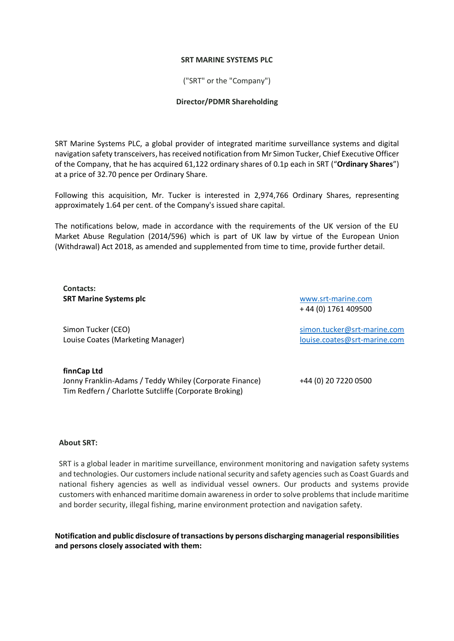## **SRT MARINE SYSTEMS PLC**

("SRT" or the "Company")

## **Director/PDMR Shareholding**

SRT Marine Systems PLC, a global provider of integrated maritime surveillance systems and digital navigation safety transceivers, has received notification from Mr Simon Tucker, Chief Executive Officer of the Company, that he has acquired 61,122 ordinary shares of 0.1p each in SRT ("**Ordinary Shares**") at a price of 32.70 pence per Ordinary Share.

Following this acquisition, Mr. Tucker is interested in 2,974,766 Ordinary Shares, representing approximately 1.64 per cent. of the Company's issued share capital.

The notifications below, made in accordance with the requirements of the UK version of the EU Market Abuse Regulation (2014/596) which is part of UK law by virtue of the European Union (Withdrawal) Act 2018, as amended and supplemented from time to time, provide further detail.

**Contacts: SRT Marine Systems plc**

Simon Tucker (CEO) Louise Coates (Marketing Manager)

[www.srt-marine.com](http://www.srt-marine.com/)  + 44 (0) 1761 409500

[simon.tucker@srt-marine.com](mailto:simon.tucker@srt-marine.com) [louise.coates@srt-marine.com](mailto:louise.coates@srt-marine.com)

**finnCap Ltd** Jonny Franklin-Adams / Teddy Whiley (Corporate Finance) +44 (0) 20 7220 0500 Tim Redfern / Charlotte Sutcliffe (Corporate Broking)

## **About SRT:**

SRT is a global leader in maritime surveillance, environment monitoring and navigation safety systems and technologies. Our customers include national security and safety agencies such as Coast Guards and national fishery agencies as well as individual vessel owners. Our products and systems provide customers with enhanced maritime domain awareness in order to solve problems that include maritime and border security, illegal fishing, marine environment protection and navigation safety.

**Notification and public disclosure of transactions by persons discharging managerial responsibilities and persons closely associated with them:**